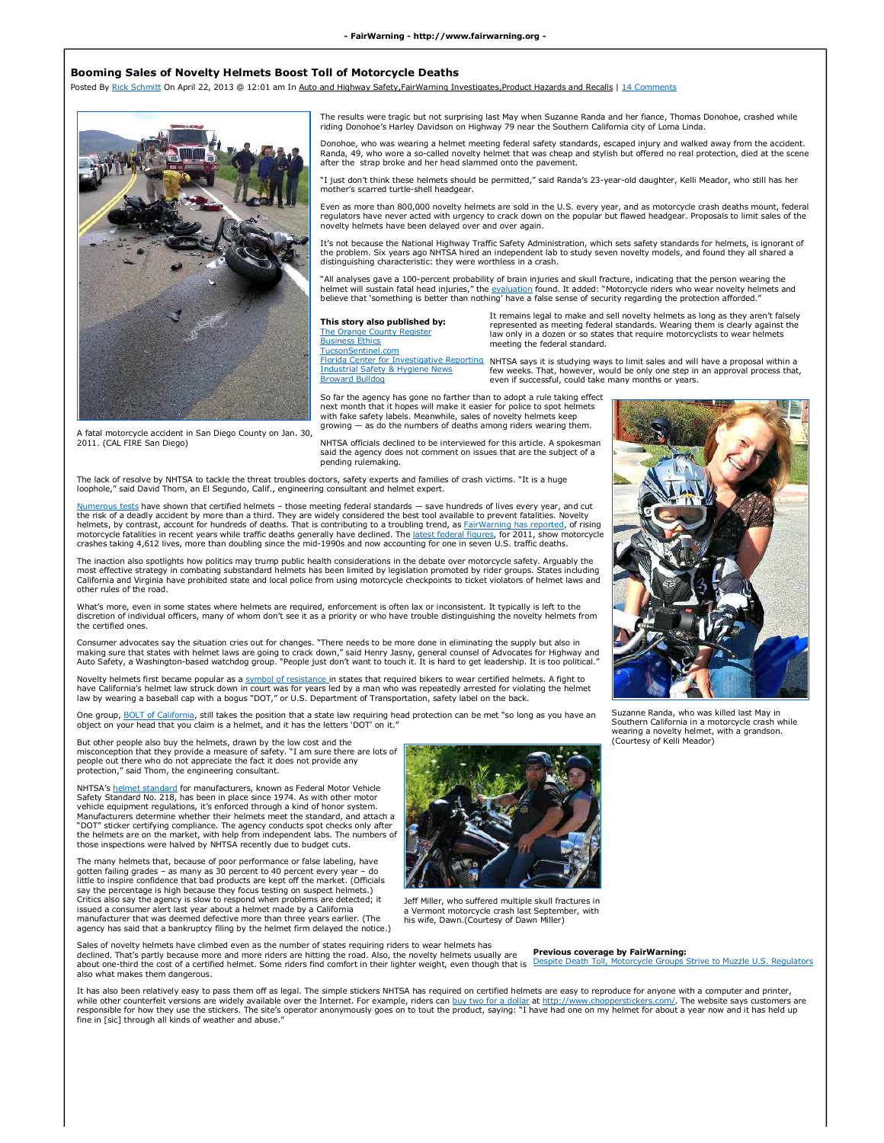## **Booming Sales of Novelty Helmets Boost Toll of Motorcycle Deaths**

Posted By Rick Schmitt On April 22, 2013 @ 12:01 am In Auto and Highway Safety,FairWarning Investigates,Product Hazards and Recalls | 14 Comments



The results were tragic but not surprising last May when Suzanne Randa and her fiance, Thomas Donohoe, crashed while riding Donohoe's Harley Davidson on Highway 79 near the Southern California city of Loma Linda.

Donohoe, who was wearing a helmet meeting federal safety standards, escaped injury and walked away from the accident. Randa, 49, who wore a so-called novelty helmet that was cheap and stylish but offered no real protection, died at the scene<br>after the strap broke and her head slammed onto the pavement.

"I just don't think these helmets should be permitted," said Randa's 23-year-old daughter, Kelli Meador, who still has her mother's scarred turtle-shell headgear.

Even as more than 800,000 novelty helmets are sold in the U.S. every year, and as motorcycle crash deaths mount, federal regulators have never acted with urgency to crack down on the popular but flawed headgear. Proposals to limit sales of the novelty helmets have been delayed over and over again.

It's not because the National Highway Traffic Safety Administration, which sets safety standards for helmets, is ignorant of<br>the problem. Six years ago NHTSA hired an independent lab to study seven novelty models, and foun distinguishing characteristic: they were worthless in a crash.

"All analyses gave a 100-percent probability of brain injuries and skull fracture, indicating that the person wearing the helmet will sustain fatal head injuries," the <u>evaluation</u> found. It added: "Motorcycle riders who wear novelty helmets and<br>believe that 'something is better than nothing' have a false sense of security regarding the prote

## **This story also published by:**

The Orange County Register **Business Ethics TucsonSentinel** Broward Bulldog

It remains legal to make and sell novelty helmets as long as they aren't falsely represented as meeting federal standards. Wearing them is clearly against the law only in a dozen or so states that require motorcyclists to wear he meeting the federal standard.

Florida Center for Investigative Reporting NHTSA says it is studying ways to limit sales and will have a proposal within a<br>Industrial Safety & Hygiene News few weeks. That, however, would be only one step in an approval pr even if successful, could take many months or years.

So far the agency has gone no farther than to adopt a rule taking effect next month that it hopes will make it easier for police to spot helmets with fake safety labels. Meanwhile, sales of novelty helmets keep exactly decreased in the contract of the contract of the matter of the matter of the matter of deaths among riders wearing them.

A fatal motorcycle accident in San Diego County on Jan. 30, 2011. (CAL FIRE San Diego)

NHTSA officials declined to be interviewed for this article. A spokesman said the agency does not comment on issues that are the subject of a pending rulemaking.

The lack of resolve by NHTSA to tackle the threat troubles doctors, safety experts and families of crash victims. "It is a huge loophole," said David Thom, an El Segundo, Calif., engineering consultant and helmet expert.

Is tests have shown that certified helmets – those meeting federal standards — save hundreds of lives every year, and cut the risk of a deadly accident by more than a third. They are widely considered the best tool available to prevent fatalities. Novelty helmets, by contrast, account for hundreds of deaths. That is contributing to a troubling trend, as FairWarning has reported, of rising motorcycle fatalities in recent years while traffic deaths generally have declined. The <u>latest federal fiqures</u>, for 2011, show motorcycle<br>crashes taking 4,612 lives, more than doubling since the mid-1990s and now account

The inaction also spotlights how politics may trump public health considerations in the debate over motorcycle safety. Arguably the most effective strategy in combating substandard helmets has been limited by legislation promoted by rider groups. States including<br>California and Virginia have prohibited state and local police from using motorcycle check other rules of the road.

What's more, even in some states where helmets are required, enforcement is often lax or inconsistent. It typically is left to the discretion of individual officers, many of whom don't see it as a priority or who have trouble distinguishing the novelty helmets from the certified ones.

Consumer advocates say the situation cries out for changes. "There needs to be more done in eliminating the supply but also in<br>making sure that states with helmet laws are going to crack down," said Henry Jasny, general co

Novelty helmets first became popular as a symbol of resistance in states that required bikers to wear certified helmets. A fight to have California's helmet law struck down in court was for years led by a man who was repeatedly arrested for violating the helmet<br>Iaw by wearing a baseball cap with a bogus "DOT," or U.S. Department of Transportation, safe

One group, BOLT of California, still takes the position that a state law requiring head protection can be met "so long as you have an object on your head that you claim is a helmet, and it has the letters 'DOT' on it."

But other people also buy the helmets, drawn by the low cost and the misconception that they provide a measure of safety. "I am sure there are lots of people out there who do not appreciate the fact it does not provide any protection," said Thom, the engineering consultant.

NHTSA's helmet standard for manufacturers, known as Federal Motor Vehicle Safety Standard No. 218, has been in place since 1974. As with other motor vehicle equipment regulations, it's enforced through a kind of honor system. Manufacturers determine whether their helmets meet the standard, and attach a "DOT" sticker certifying compliance. The agency conducts spot checks only after the helmets are on the market, with help from independent labs. The numbers of those inspections were halved by NHTSA recently due to budget cuts.

The many helmets that, because of poor performance or false labeling, have gotten failing grades – as many as 30 percent to 40 percent every year – do little to inspire confidence that bad products are kept off the market. (Officials say the percentage is high because they focus testing on suspect helmets.) Critics also say the agency is slow to respond when problems are detected; it issued a consumer alert last year about a helmet made by a California manufacturer that was deemed defective more than three years earlier. (The agency has said that a bankruptcy filing by the helmet firm delayed the notice.)

also what makes them dangerous.

Sales of novelty helmets have climbed even as the number of states requiring riders to wear helmets has declined. That's partly because more and more riders are hitting the road. Also, the novelty helmets usually are<br>about one-third the cost of a certified helmet. Some riders find comfort in their lighter weight, even though



Jeff Miller, who suffered multiple skull fractures in a Vermont motorcycle crash last September, with his wife, Dawn.(Courtesy of Dawn Miller)

**Previous coverage by FairWarning:** Despite Death Toll, Motorcycle Groups Strive to Muzzle U.S. Regulators

(Courtesy of Kelli Meador)

It has also been relatively easy to pass them off as legal. The simple stickers NHTSA has required on certified helmets are easy to reproduce for anyone with a computer and printer,<br>while other counterfeit versions are wid while other counterfeit versions are widely available over the Internet. For example, riders can <u>buy two for a dollar</u> at <u>http://www.chopperstickers.com/</u>. The website says customers are<br>responsible for how they use the fine in [sic] through all kinds of weather and abuse.'



Suzanne Randa, who was killed last May in Southern California in a motorcycle crash while wearing a novelty helmet, with a grandson.